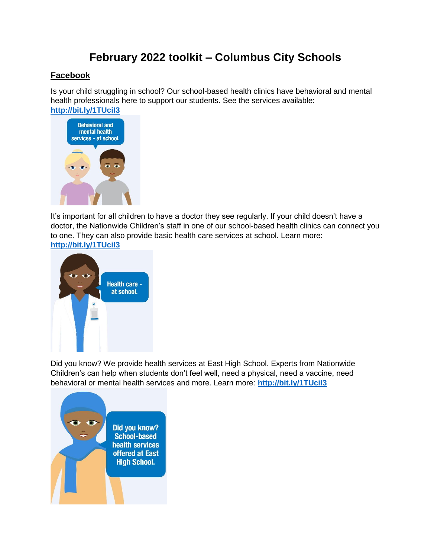# **February 2022 toolkit – Columbus City Schools**

### **Facebook**

Is your child struggling in school? Our school-based health clinics have behavioral and mental health professionals here to support our students. See the services available: **<http://bit.ly/1TUciI3>**



It's important for all children to have a doctor they see regularly. If your child doesn't have a doctor, the Nationwide Children's staff in one of our school-based health clinics can connect you to one. They can also provide basic health care services at school. Learn more: **<http://bit.ly/1TUciI3>**



Did you know? We provide health services at East High School. Experts from Nationwide Children's can help when students don't feel well, need a physical, need a vaccine, need behavioral or mental health services and more. Learn more: **<http://bit.ly/1TUciI3>**

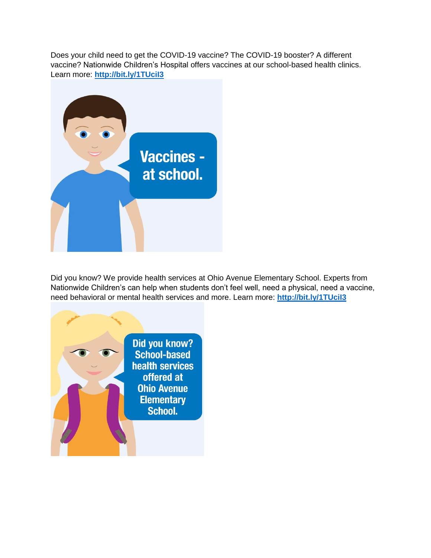Does your child need to get the COVID-19 vaccine? The COVID-19 booster? A different vaccine? Nationwide Children's Hospital offers vaccines at our school-based health clinics. Learn more: **<http://bit.ly/1TUciI3>**



Did you know? We provide health services at Ohio Avenue Elementary School. Experts from Nationwide Children's can help when students don't feel well, need a physical, need a vaccine, need behavioral or mental health services and more. Learn more: **<http://bit.ly/1TUciI3>**

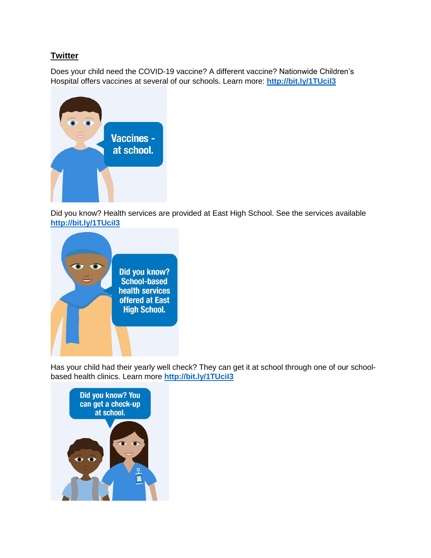### **Twitter**

Does your child need the COVID-19 vaccine? A different vaccine? Nationwide Children's Hospital offers vaccines at several of our schools. Learn more: **<http://bit.ly/1TUciI3>**



Did you know? Health services are provided at East High School. See the services available **<http://bit.ly/1TUciI3>**



Has your child had their yearly well check? They can get it at school through one of our schoolbased health clinics. Learn more **<http://bit.ly/1TUciI3>**

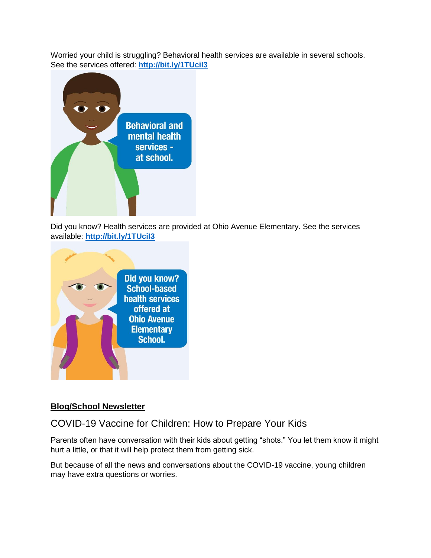Worried your child is struggling? Behavioral health services are available in several schools. See the services offered: **<http://bit.ly/1TUciI3>**



Did you know? Health services are provided at Ohio Avenue Elementary. See the services available: **<http://bit.ly/1TUciI3>**



### **Blog/School Newsletter**

## COVID-19 Vaccine for Children: How to Prepare Your Kids

Parents often have conversation with their kids about getting "shots." You let them know it might hurt a little, or that it will help protect them from getting sick.

But because of all the news and conversations about the COVID-19 vaccine, young children may have extra questions or worries.